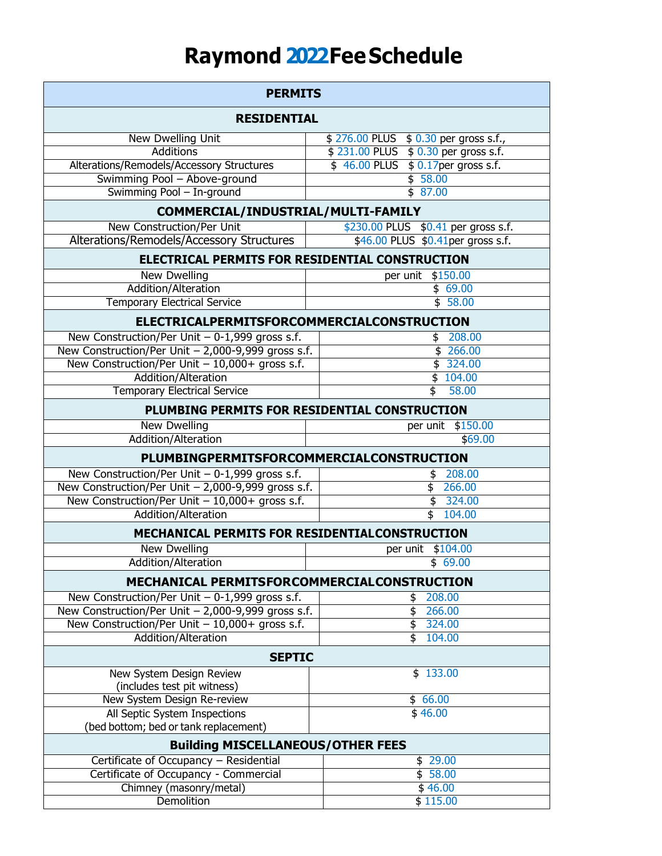## **Raymond 2022FeeSchedule**

| <b>PERMITS</b>                                                         |                                                             |  |
|------------------------------------------------------------------------|-------------------------------------------------------------|--|
| <b>RESIDENTIAL</b>                                                     |                                                             |  |
| New Dwelling Unit                                                      | \$276.00 PLUS \$0.30 per gross s.f.,                        |  |
| <b>Additions</b>                                                       | $\frac{1}{2}$ 231.00 PLUS $\frac{1}{2}$ 0.30 per gross s.f. |  |
| Alterations/Remodels/Accessory Structures                              | \$46.00 PLUS \$0.17 per gross s.f.                          |  |
| Swimming Pool - Above-ground                                           | \$58.00                                                     |  |
| Swimming Pool - In-ground                                              | \$87.00                                                     |  |
| COMMERCIAL/INDUSTRIAL/MULTI-FAMILY                                     |                                                             |  |
| <b>New Construction/Per Unit</b>                                       | \$230.00 PLUS \$0.41 per gross s.f.                         |  |
| Alterations/Remodels/Accessory Structures                              | \$46.00 PLUS \$0.41 per gross s.f.                          |  |
| ELECTRICAL PERMITS FOR RESIDENTIAL CONSTRUCTION                        |                                                             |  |
| New Dwelling                                                           | per unit \$150.00                                           |  |
| Addition/Alteration                                                    | \$69.00                                                     |  |
| <b>Temporary Electrical Service</b>                                    | \$58.00                                                     |  |
| ELECTRICALPERMITSFORCOMMERCIALCONSTRUCTION                             |                                                             |  |
| New Construction/Per Unit $-0$ -1,999 gross s.f.                       | \$208.00                                                    |  |
| New Construction/Per Unit - 2,000-9,999 gross s.f.                     | \$266.00                                                    |  |
| New Construction/Per Unit - 10,000+ gross s.f.                         | \$324.00                                                    |  |
| Addition/Alteration                                                    | \$104.00                                                    |  |
| <b>Temporary Electrical Service</b>                                    | $\overline{\mathsf{s}}$<br>58.00                            |  |
| PLUMBING PERMITS FOR RESIDENTIAL CONSTRUCTION                          |                                                             |  |
| <b>New Dwelling</b>                                                    | \$150.00<br>per unit                                        |  |
| Addition/Alteration                                                    | \$69.00                                                     |  |
| PLUMBINGPERMITSFORCOMMERCIALCONSTRUCTION                               |                                                             |  |
| New Construction/Per Unit $-0$ -1,999 gross s.f.                       | 208.00<br>\$                                                |  |
| New Construction/Per Unit - 2,000-9,999 gross s.f.                     | \$266.00                                                    |  |
| New Construction/Per Unit $-10,000+$ gross s.f.                        | 324.00<br>$\overline{\boldsymbol{\mathsf{s}}}$              |  |
| Addition/Alteration                                                    | $\overline{\mathfrak{s}}$<br>104.00                         |  |
| MECHANICAL PERMITS FOR RESIDENTIALCONSTRUCTION                         |                                                             |  |
| <b>New Dwelling</b>                                                    | \$104.00<br>per unit                                        |  |
| Addition/Alteration                                                    | \$69.00                                                     |  |
| MECHANICAL PERMITSFORCOMMERCIALCONSTRUCTION                            |                                                             |  |
| New Construction/Per Unit $-0$ -1,999 gross s.f.                       | \$208.00                                                    |  |
| New Construction/Per Unit - 2,000-9,999 gross s.f.                     | \$266.00                                                    |  |
| New Construction/Per Unit $-10,000+$ gross s.f.                        | \$324.00                                                    |  |
| Addition/Alteration                                                    | $\overline{\mathfrak{s}}$<br>104.00                         |  |
| <b>SEPTIC</b>                                                          |                                                             |  |
| New System Design Review                                               | \$133.00                                                    |  |
| (includes test pit witness)                                            |                                                             |  |
| New System Design Re-review                                            | $\sqrt{66.00}$                                              |  |
| All Septic System Inspections<br>(bed bottom; bed or tank replacement) | \$46.00                                                     |  |
|                                                                        | <b>Building MISCELLANEOUS/OTHER FEES</b>                    |  |
| Certificate of Occupancy - Residential                                 | \$29.00                                                     |  |
| Certificate of Occupancy - Commercial                                  | \$58.00                                                     |  |
| Chimney (masonry/metal)                                                | \$46.00                                                     |  |
| <b>Demolition</b>                                                      | \$115.00                                                    |  |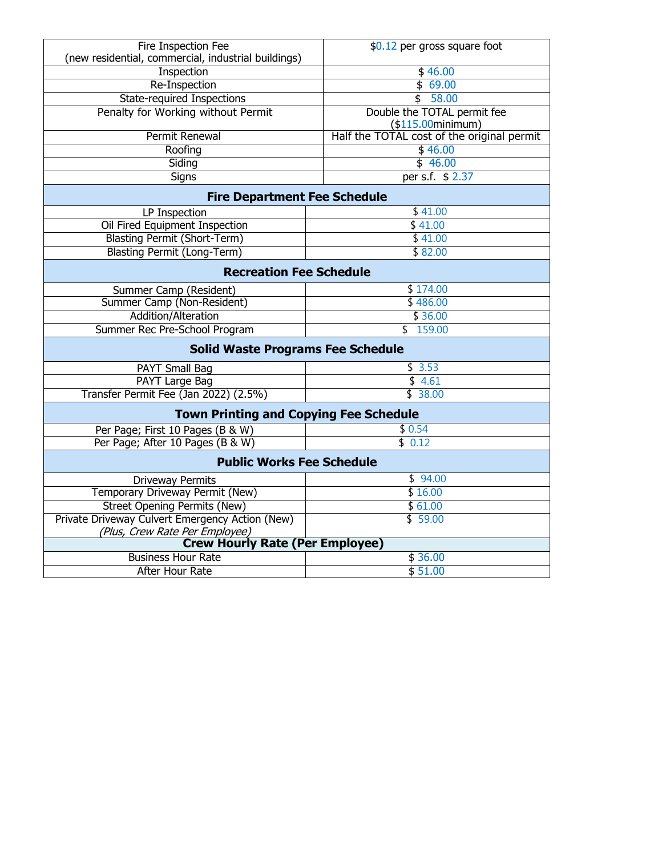| Fire Inspection Fee                                 | \$0.12 per gross square foot               |  |
|-----------------------------------------------------|--------------------------------------------|--|
| (new residential, commercial, industrial buildings) |                                            |  |
| Inspection                                          | \$46.00                                    |  |
| Re-Inspection                                       | \$69.00                                    |  |
| <b>State-required Inspections</b>                   | \$58.00                                    |  |
| Penalty for Working without Permit                  | Double the TOTAL permit fee                |  |
|                                                     | $($115.00$ minimum)                        |  |
| Permit Renewal                                      | Half the TOTAL cost of the original permit |  |
| Roofing                                             | \$46.00                                    |  |
| Siding                                              | \$46.00                                    |  |
| Signs                                               | per s.f. \$ 2.37                           |  |
| <b>Fire Department Fee Schedule</b>                 |                                            |  |
| LP Inspection                                       | \$41.00                                    |  |
| Oil Fired Equipment Inspection                      | \$41.00                                    |  |
| <b>Blasting Permit (Short-Term)</b>                 | \$41.00                                    |  |
| <b>Blasting Permit (Long-Term)</b>                  | \$82.00                                    |  |
| <b>Recreation Fee Schedule</b>                      |                                            |  |
| Summer Camp (Resident)                              | \$174.00                                   |  |
| Summer Camp (Non-Resident)                          | \$486.00                                   |  |
| Addition/Alteration                                 | \$36.00                                    |  |
| Summer Rec Pre-School Program                       | \$159.00                                   |  |
| <b>Solid Waste Programs Fee Schedule</b>            |                                            |  |
| PAYT Small Bag                                      | \$3.53                                     |  |
| <b>PAYT Large Bag</b>                               | \$4.61                                     |  |
| Transfer Permit Fee (Jan 2022) (2.5%)               | \$38.00                                    |  |
| <b>Town Printing and Copying Fee Schedule</b>       |                                            |  |
| Per Page; First 10 Pages (B & W)                    | \$0.54                                     |  |
| Per Page; After 10 Pages (B & W)                    | \$0.12                                     |  |
| <b>Public Works Fee Schedule</b>                    |                                            |  |
| Driveway Permits                                    | \$94.00                                    |  |
| Temporary Driveway Permit (New)                     | \$16.00                                    |  |
| <b>Street Opening Permits (New)</b>                 | \$61.00                                    |  |
| Private Driveway Culvert Emergency Action (New)     | \$59.00                                    |  |
| (Plus, Crew Rate Per Employee)                      |                                            |  |
| <b>Crew Hourly Rate (Per Employee)</b>              |                                            |  |
| <b>Business Hour Rate</b>                           | \$36.00                                    |  |
| After Hour Rate                                     | \$51.00                                    |  |